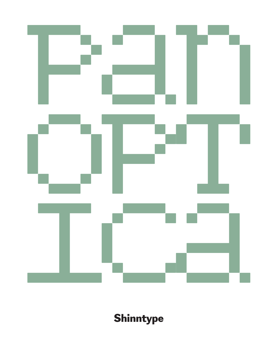

Shinntype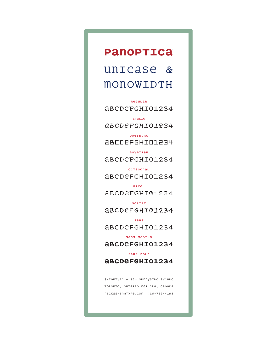### Pano**PTICa**

### unicase & MONOWIDTH

REGULAR aBCDeFGHI01234

ITALIC *ABCdefghi01234*

DOESBURG ABCdefghi01234

EGYPTIAN ABCdefghi01234

OCTAGONAL ABCdefghi01234

PIXEL ABCdefghi01234

SCRIPT ABCdefghi01234

SANS ABCdefghi01234

sans mebium

ABCdefghi01234

SANS BOLD **ABCdefghi01234**

 $S$ HINNTYPe – 364 Sunnyside avenue TORONTO, ONTARIO M6R 2R8, CANADA nick@shinntype.com 416-769-4198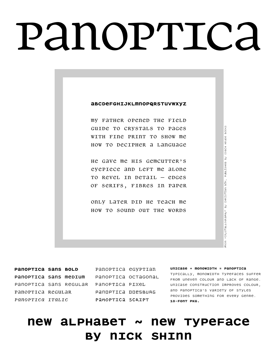# panoptica

#### **ABCDEFGHIJKLMNOPQRSTUVWXYZ**

MY FATHER OPENED THE FIELD GUIDE TO CRYSTALS TO PAGES WITH FINE PRINT TO SHOW ME HOW TO DECIPHER A LANGUAGE

HE GAVE ME HIS GEMCUTTER'S EYEPIECE AND LEFT ME ALONE TO REVEL IN DETAIL — EDGES OF SERIFS, FIBRES IN PAPER

ONLY LATER DID HE TEACH ME HOW TO SOUND OUT THE WORDS

**panoptica Sans bold** panoptica sans medium panoptica sans regular panoptica pixel panoptica regular *panoptica italic*

panoptica egyptian panoptica octagonal panoptica doesburg panoptica script

**unicase + monowidth = panoptica** typically, monowidth typefaces suffer from uneven colour and lack of range. Unicase construction improves colour, and panoptica's variety of styles provides something for every genre. **10-font pkg.**

BOOKS

COACH HOUSE

 $\geqq$ 

PUBLISHED

BÖK,

CHRISTIAN

 $\geqq$ 

"CRYSTaLLOGRaPHY"

**FROM** 

### **new alphabet ~ new typeface BY NICK SHINN**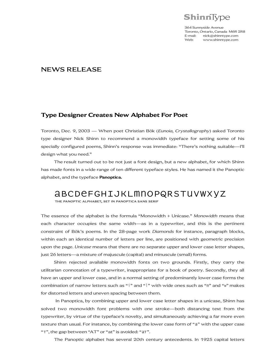

364 Sunnyside Avenue Toronto, Ontario, Canada M6R 2R8 E-mail: nick@shinntype.com<br>Web: www.shinntype.com Web: www.shinntype.com

#### NEWS RELEASE

#### **Type Designer Creates New Alphabet For Poet**

Toronto, Dec. 9, 2003 — When poet Christian Bök (*Eunoia, Crystallography*) asked Toronto type designer Nick Shinn to recommend a monowidth typeface for setting some of his specially configured poems, Shinn's response was immediate: "There's nothing suitable—I'll design what you need."

The result turned out to be not just a font design, but a new alphabet, for which Shinn has made fonts in a wide range of ten different typeface styles. He has named it the Panoptic alphabet, and the typeface **Panoptica.**

### abcdefghijklmnopqrstuvwxyz

THE PANOPTIC ALPHABET, SET IN PANOPTICA SANS SERIF

The essence of the alphabet is the formula "Monowidth + Unicase." *Monowidth* means that each character occupies the same width—as in a typewriter, and this is the pertinent constraint of Bök's poems. In the 28-page work *Diamonds* for instance, paragraph blocks, within each an identical number of letters per line, are positioned with geometric precision upon the page. *Unicase* means that there are no separate upper and lower case letter shapes, just 26 letters—a mixture of majuscule (capital) and minuscule (small) forms.

Shinn rejected available monowidth fonts on two grounds. Firstly, they carry the utilitarian connotation of a typewriter, inappropriate for a book of poetry. Secondly, they all have an upper and lower case, and in a normal setting of predominantly lower case forms the combination of narrow letters such as "i" and "l" with wide ones such as "m" and "w" makes for distorted letters and uneven spacing between them.

In Panoptica, by combining upper and lower case letter shapes in a unicase, Shinn has solved two monowidth font problems with one stroke—both distancing text from the typewriter, by virtue of the typeface's novelty, and simultaneously achieving a far more even texture than usual. For instance, by combining the lower case form of "a" with the upper case "T", the gap between "AT" or "at" is avoided: "aT".

The Panoptic alphabet has several 20th century antecedents. In 1925 capital letters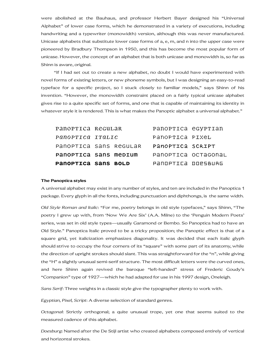were abolished at the Bauhaus, and professor Herbert Bayer designed his "Universal Alphabet" of lower case forms, which he demonstrated in a variety of executions, including handwriting and a typewriter (monowidth) version, although this was never manufactured. Unicase alphabets that substitute lower case forms of a, e, m, and n into the upper case were pioneered by Bradbury Thompson in 1950, and this has become the most popular form of unicase. However, the concept of an alphabet that is both unicase and monowidth is, so far as Shinn is aware, original.

"If I had set out to create a new alphabet, no doubt I would have experimented with novel forms of existing letters, or new phoneme symbols, but I was designing an easy-to-read typeface for a specific project, so I stuck closely to familiar models," says Shinn of his invention. "However, the monowidth constraint placed on a fairly typical unicase alphabet gives rise to a quite specific set of forms, and one that is capable of maintaining its identity in whatever style it is rendered. This is what makes the Panoptic alphabet a universal alphabet."

| PANOPTICA SANS BOLD    |  |  | PANOPTICA DOPSBURG  |  |
|------------------------|--|--|---------------------|--|
| PANOPTICA SANS MEDIUM  |  |  | PANOPTICA OCTAGONAL |  |
| PANOPTICA SANS REGULAR |  |  | PANOPTICA SCRIPT    |  |
| Panoprica italic       |  |  | PANOPTICA PIXEL     |  |
| PANOPTICA REGULAR      |  |  | PANOPTICA eGYPTIAN  |  |

#### **The Panoptica styles**

A universal alphabet may exist in any number of styles, and ten are included in the Panoptica 1 package. Every glyph in all the fonts, including punctuation and diphthongs, is the same width.

*Old Style Roman and Italic*: "For me, poetry belongs in old style typefaces," says Shinn, "The poetry I grew up with, from 'Now We Are Six' (A.A. Milne) to the 'Penguin Modern Poets' series, was set in old style types—usually Garamond or Bembo. So Panoptica had to have an Old Style." Panoptica Italic proved to be a tricky proposition; the Panoptic effect is that of a square grid, yet italicization emphasizes diagonality. It was decided that each italic glyph should strive to occupy the four corners of its "square" with some part of its anatomy, while the direction of upright strokes should slant. This was straightforward for the "n", while giving the "H" a slightly unusual semi-serif structure. The most difficult letters were the curved ones, and here Shinn again revived the baroque "left-handed" stress of Frederic Goudy's "Companion" type of 1927—which he had adapted for use in his 1997 design, Oneleigh.

*Sans Serif*: Three weights in a classic style give the typographer plenty to work with.

*Egyptian, Pixel, Script*: A diverse selection of standard genres.

*Octagonal*: Strictly orthogonal; a quite unusual trope, yet one that seems suited to the measured cadence of this alphabet.

*Doesburg*: Named after the De Stijl artist who created alphabets composed entirely of vertical and horizontal strokes.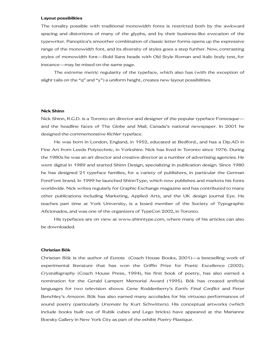#### **Layout possibilities**

The tonality possible with traditional monowidth fonts is restricted both by the awkward spacing and distortions of many of the glyphs, and by their business-like evocation of the typewriter. Panoptica's smoother combination of classic letter forms opens up the expressive range of the monowidth font, and its diversity of styles goes a step further. Now, contrasting styles of monowidth font—Bold Sans heads with Old Style Roman and Italic body text, for instance—may be mixed on the same page.

The extreme metric regularity of the typeface, which also has (with the exception of slight tails on the "q" and "y") a uniform height, creates new layout possibilities.

#### **Nick Shinn**

Nick Shinn, R.G.D. is a Toronto art director and designer of the popular typeface Fontesque and the headline faces of The Globe and Mail, Canada's national newspaper. In 2001 he designed the commemorative *Richler* typeface.

He was born in London, England, in 1952, educated at Bedford., and has a Dip.AD in Fine Art from Leeds Polytechnic, in Yorkshire. Nick has lived in Toronto since 1976. During the 1980s he was an art director and creative director at a number of advertising agencies. He went digital in 1989 and started Shinn Design, specializing in publication design. Since 1980 he has designed 21 typeface families, for a variety of publishers, in particular the German FontFont brand. In 1999 he launched ShinnType, which now publishes and markets his fonts worldwide. Nick writes regularly for Graphic Exchange magazine and has contributed to many other publications including Marketing, Applied Arts, and the UK design journal Eye. He teaches part time at York University, is a board member of the Society of Typographic Aficionados, and was one of the organizers of TypeCon 2002, in Toronto.

His typefaces are on view at www.shinntype.com, where many of his articles can also be downloaded.

#### **Christian Bök**

Christian Bök is the author of *Eunoia* (Coach House Books, 2001)—a bestselling work of experimental literature that has won the Griffin Prize for Poetic Excellence (2002). *Crystallography* (Coach House Press, 1994), his first book of poetry, has also earned a nomination for the Gerald Lampert Memorial Award (1995). Bök has created artificial languages for two television shows: Gene Roddenberry's *Earth: Final Conflict* and Peter Benchley's *Amazon*. Bök has also earned many accolades for his virtuoso performances of sound poetry (particularly *Ursonate* by Kurt Schwitters). His conceptual artworks (which include books built out of Rubik cubes and Lego bricks) have appeared at the Marianne Boesky Gallery in New York City as part of the exhibit *Poetry Plastique.*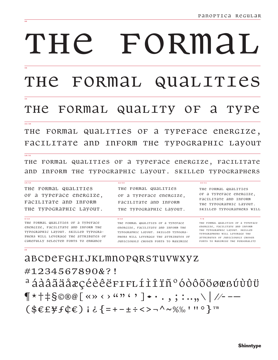# THE FORMAL

THE FORMAL QUALITIES

### THE FORMAL QUALITY OF A TYPE

#### $\frac{1}{22/26}$

 $\frac{1}{18/21}$ 

 $\frac{14}{15}$ 

QUALITIES OF A TYPEFACE ENERGIZE, THE FORMAL FACILITATE and Inform THE TYPOGRAPHIC LAYOUT

THE FORMAL QUALITIES OF A TYPEFACE ENERGIZE, FACILITATE and INFORM THE TYPOGRAPHIC LAYOUT. SKILLED TYPOGRAPHERS

 $12/15$ 

 $8/10$ 

THE FORMAL QUALITIES OF a TYPEFACE energize, FACILITATE AND INFORM THE TYPOGRAPHIC LAYOUT.

 $9/10$ THE FORMAL QUALITIES OF A TYPEFACE energize, FACILITATE AND INFORM THE TVPOGRAPHIC LAVOUT. SKILLED TVPOGRA-PHERS WILL LEVERAGE THE ATTRIBUTES OF CAREFULLY SELECTED FONTS TO ENHANCE

THE FORMAL QUALITIES OF a TYPEFACE energize, FACILITATE AND INFORM THE TYPOGRAPHIC LAVOUT.

THE FORMAL QUALITIES OF A TYPEFACE energize, Facilitate and Inform THe TYPOGRAPHIC LAYOUT. SKILLED TYPOGRA-PHERS WILL LEVERAGE THE ATTRIBUTES OF JUDICIOUSLY CHOSEN FONTS TO MAXIMIZE

THE FORMAL QUALITIES OF a TYPEFACE enerGIZE, FACILITATE AND INFORM THE TYPOGRAPHIC LAYOUT. SKILLED TVPOGRAPHERS WILL

 $10/11$ 

 $7/8$ 

THE FORMAL QUALITIES OF A TYPEFACE energize, Facilitate and Inform THE TYPOGRAPHIC LAYOUT. SKILLED TYPOGRAPHERS WILL LEVERAGE THE **ATTRIBUTES OF JUDICIOUSLY CHOSEN** FONTS TO MAXIMIZE THE PERSONALITY

**ABCDEFGHIJKLMNOPQRSTUVWXYZ** #1234567890&?! <sup>a</sup>áàâãäåæçéèêëFIFLÍÌÎÏѺóòôõöøœßÚùûü  $\P$ \*†‡§©®@[«» < > "" ' ' ]•·., ; :..,, \ | //- -- $($EEff(E) i < \{-+ - \pm \div \lt > - \wedge \sim \% \% \text{ in } \circ \} \text{ and }$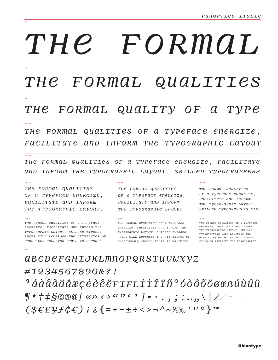## THE FORMAL,

THE FORMAL QUALITIES

#### THE FORMAL QUALITY OF A  $T\mathcal{V}Pe$

QUALITIES OF A TYPEFACE ENERGIZE, THE FORMAL FACILITATE and Inform The TYPOGRAPHIC LAYOUT

THE FORMAL QUALITIES OF A TYPEFACE ENERGIZE, FACILITATE and Inform the Typographic Layout. SKILLeD Typographers

 $12/15$ 

 $8/10$ 

THE FORMAL QUALITIES OF a Typerace energize, FACILITATE AND INFORM THE TYPOGRAPHIC LAYOUT.

 $\frac{1}{22/26}$ 

 $\frac{1}{18/21}$ 

 $\frac{14}{14}$ 

 $9/10$ THE FORMAL QUALITIES OF A TYPEFACE energize, Facilitate and Inform The TYPOGRAPHIC LAYOUT. SKILLED TYPOGRA-PHERS WILL LEVERAGE THE ATTRIBUTES OF CAREFULLY SELECTED FONTS TO ENHANCE

THE FORMAL QUALITIES OF a Typerace energize, FACILITATE AND INFORM THE TYPOGRAPHIC LAYOUT.

THE FORMAL QUALITIES OF A TYPEFACE energize, Facilitate and Inform THe TVPOGRAPHIC LAVOUT, SKILLED TVPOGRA-PHERS WILL LEVERAGE THE ATTRIBUTES OF JUDICIOUSLY CHOSEN FONTS TO MAXIMIZE

THE FORMAL QUALITIES OF a TVPerace energize. FACILITATE AND INFORM THE TYPOGRAPHIC LAYOUT. SKILLED TVPOGRAPHERS WILL

 $10/11$ 

 $7/8$ 

THE FORMAL QUALITIES OF A TYPEFACE energize, Facilitate and InFORM THE TYPOGRAPHIC LAYOUT. SKILLED TYPOGRAPHERS WILL LEVERAGE THE *ATTRIBUTES OF JUDICIOUSLY CHOSEN* FONTS TO MAXIMIZE THE PERSONALITY

*ABCDEFGHIJKLMNOPQRSTUUWXYZ* #1234567890&?!  $a\,\acute{a}$ à $\hat{a}\,\ddot{a}\,\ddot{a}\,\ddot{a}\,\dot{a}\,\dot{c}$ céèë $\ddot{e}\,\ddot{e}\,\ddot{r}$ rrlíì $\ddot{1}\,\ddot{r}\,\ddot{r}\,^o\,\dot{o}\,\dot{o}\,\ddot{o}\,\ddot{o}\,\dot{o}\,\dot{o}\,$  $\P$ \* †  $\ddagger$   $\frac{1}{2}$   $\frac{1}{2}$   $\frac{1}{2}$   $\frac{1}{2}$   $\frac{1}{2}$   $\frac{1}{2}$   $\frac{1}{2}$   $\frac{1}{2}$   $\cdots$ , ; : ..., \ | // - -- $(SEEEFFE) i i [-1 - 1 + 1 - 1 - 1 - 1]$  in a left to a left to a left to a left to a left to a left to  $\mathbb{R}^m$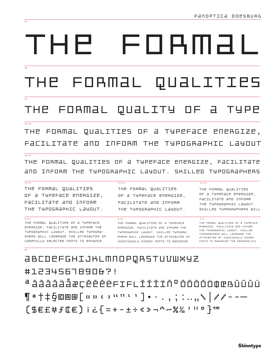# FOBMƏI THP

QUALITIES FORMAL

#### FORMAL QUALITY **TUPE** THE OF  $\Box$

#### $\frac{1}{22/26}$

FORMAL QUALITIES OF A TYPEFACE ENERGIZE, THE FACILITATE ann INFORM THE TYPOGRAPHIC Layout

#### $\frac{1}{18/21}$

 $\frac{14}{15}$ 

THE FORMAL QUALITIES OF A TYPEFACE ENERGIZE, FACILITATE 

#### THE FORMAL QUALITIES OF a TYPEFACE ENERGIZE, FACILITATE AND INFORM THE TYPOGRAPHIC LAYOUT.

 $9/10$ THE FORMAL QUALITIES OF A TYPEFACE enerGIZE, FACILITATE AND INFORM THE TYPOGRAPHIC LAYOUT. SHILLED TYPOGRA-PHEAS WILL LEVERAGE THE ATTAIBUTES OF CAREFULLY SELECTED FONTS TO ENHANCE

THE FORMAL QUALITIES OF a TYPEFACE ENERGIZE, FACILITATE AND INFORM THE TYPOGRAPHIC LAYOUT.

#### $8/10$

 $12/15$ 

THE FORMAL QUALITIES OF A TYPEFACE enembize, Facilitate and infomm the TYPOGRAPHIC LAYOUT, SHILLED TYPOGRA-PHERS WILL LEVERAGE THE ATTRIBUTES OF JUDICIOUSLY CHOSEN FONTS TO MAXIMIZE

THE FORMAL QUALITIES OF a TYPEFACE ENERGIZE. FACILITATE AND INFORM THE TYPOGRAPHIC LAYOUT. SHTLLPD THPOGRAPHPAS INTLL

 $10/11$ 

 $7/8$ THE FORMAL QUALITIES OF A TYPEFACE enembize, Facilitate and Infomm THE TYPOGRAPHIC LAYOUT. SHILLED TUPOGRAPHERS WILL LEVERAGE THE attaibutes of JudiciousLy CHOSEN FONTS TO MAXIMIZE THE PEASONALITY

<u> abcoefghijhlmnopqastuvwxyz</u> #123456789062! <sup>a</sup> áááááåæcééééFIFLÍÍÍŇº óóóóöœœ∆ûûű ¶★†‡§©®@[ແນເコ……・']•・. , ; : ..,,ゟ|ノノーー─ 〔事毛E#f⋢E〕ii{=+-±÷モコーウー器器!‼□}™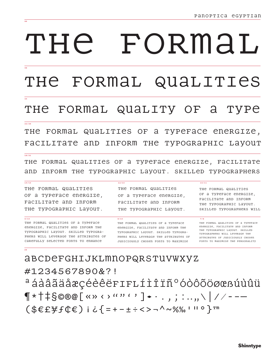## THE FORMAI,

FORMAL QUALITIES THE

#### THE FORMAL QUALITY OF A TVPe

#### $\frac{1}{22/26}$

 $\frac{14}{15}$ 

QUALITIES OF A TYPEFACE ENERGIZE, тне FORMAL FACILITATE and Inform THE TVPOGRAPHIC Lavour

 $\frac{1}{18/21}$ 

THE FORMAL QUALITIES OF A TYPEFACE ENERGIZE, FACILITATE and Inform the Typographic Layout. Skilled Typographers

 $12/15$ 

 $8/10$ 

THE FORMAL QUALITIES OF a TYPEFACE ENERGIZE, FACILITATE AND INFORM THE TYPOGRAPHIC LAYOUT.

 $9/10$ THE FORMAL QUALITIES OF A TYPEFACE energize. Facilitate and inform the TYPOGRAPHIC LAYOUT. SKILLED TYPOGRA-PHERS WILL LEVERAGE THE ATTRIBUTES OF CAREFULLY SELECTED FONTS TO ENHANCE

THE FORMAL QUALITIES OF a TYPEFACE ENERGIZE, FACILITATE AND INFORM THE TYPOGRAPHIC LAYOUT.

THE FORMAL QUALITIES OF A TYPEFACE energize, racilitate and inform the TYPOGRAPHIC LAYOUT. SKILLED TYPOGRA-PHERS WILL LEVERAGE THE ATTRIBUTES OF JUDICIOUSLY CHOSEN FONTS TO MAXIMIZE

THE FORMAL QUALITIES OF a TYPEFACE ENERGIZE, FACILITATE AND INFORM THE TYPOGRAPHIC LAYOUT. SKILLED TVPOGRAPHERS WILL

 $10/11$ 

 $7/8$ 

THE FORMAL QUALITIES OF A TYPEFACE energize, racilitate and inform THE TYPOGRAPHIC LAYOUT. SKILLED TYPOGRAPHERS WILL LEVERAGE THE **ATTRIBUTES OF JUDICIOUSLY CHOSEN** FONTS TO MAXIMIZE THE PERSONALITY

**ABCDEFGHIJKLMNOPQRSTUVWXYZ** #1234567890&?! ªáàâãäåæçéèêërır∟íìîïñºóòôõöøœßúùûü  $\P$ \*†‡§©®@[«»‹›""'']•·.,;:..,\|//--—  $(SEE\#fCE)$  i  $C\{z+1+z+2-1$   $\sim$  %%,  $\Box$  ii o  $\}$   $T^{\text{max}}$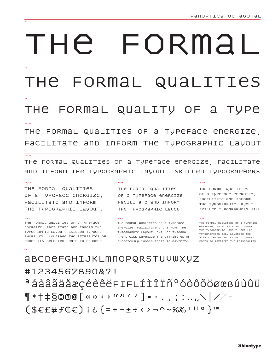# FORMAI тне

FORMAL QUALITIES тне

#### THE FORMAL QUALITY OF A **TUPE**

#### $\frac{1}{22/26}$

THE FORMAL QUALITIES OF A TYPEFACE ENERGIZE, FACILITATE and Inform THE TYPOGRAPHIC Lavout

#### $\frac{1}{18/21}$

 $\frac{14}{15}$ 

THE FORMAL QUALITIES OF A TYPEFACE ENERGIZE, FACILITATE and Inform THe TYPOGRAPHIC LAYOUT. SKILLED TYPOGRAPHERS

 $12/15$ 

#### THE FORMAL QUALITIES OF a TYPEFACE ENERGIZE, FACILITATE AND INFORM THE TYPOGRAPHIC LAYOUT.

 $9/10$ 

THE FORMAL QUALITIES OF A TYPEFACE energize. Facilitate and inform the TYPOGRAPHIC LAYOUT. SKILLED TYPOGRA-PHERS WILL LEVERAGE THE ATTRIBUTES OF CAREFULLY SELECTED FONTS TO ENHANCE

THE FORMAL QUALITIES OF a TYPEFACE ENERGIZE, FACILITATE AND INFORM THE TYPOGRAPHIC LAYOUT.

 $8/10$ THE FORMAL QUALITIES OF A TYPEFACE energize, Facilitate and InFORM THe TUPOGRAPHIC LAVOUT. SKILLED TUPOGRA-PHERS WILL LEVERAGE THE ATTRIBUTES OF JUDICIOUSLY CHOSEN FONTS TO MAXIMIZE

#### THE FORMAL QUALITIES OF a TUPEFACE ENERGIZE. FACILITATE AND INFORM THE TYPOGRAPHIC LAYOUT.

SKTLLED TUPOGRAPHERS WILL

 $10/11$ 

 $7/8$ THE FORMAL QUALITIES OF A TYPEFACE energize, Facilitate and InForm THE TYPOGRAPHIC LAYOUT. SKILLED TYPOGRAPHERS WILL LEVERAGE THE **ATTRIBUTES OF JUDICIOUSLY CHOSEN** FONTS TO MAXIMIZE THE PERSONALITY

**ABCDEFGHIJKLMNOPQRSTUVWXYZ** #1234567890&?! ªáàâãäåæçéèêëFıFLÍÌÎÏñºóòôõöøœßúùûü ¶ \*†‡§©®@「«» ‹ › "〃' ' ]• · . , ; : .. ,.\│//- -— (\$€£¥f¢€) i ¿{=+-±÷<>¬^~%‰ | || 0 }™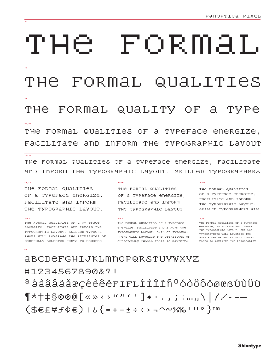### тне FORMAL

-FORMAL QUALITIES тне

#### THe FORMAL QUALITY OF a. TVPe

#### $\frac{1}{22/26}$

of a typeface energize, THE FORMAL QUALITIES FACILITATE and Inform тне TVPOGRAPHIC Lavour

#### $\frac{18}{2}$

 $\frac{14}{15}$ 

THE FORMAL QUALITIES OF A TYPEFACE ENERGIZE, FACILITATE and Inform the typographic Layout. SKILLed typographers

 $12/15$ 

 $8/10$ 

#### THE FORMAL QUALITIES OF a TYPeFace energize, FACILITATE AND INFORM THE TYPOGRAPHIC LAYOUT.

 $9/10$ THE FORMAL QUALITIES OF A TYPEFACE energize, Facilitate and Inform the TYPOGRAPHIC LAYOUT. SKILLED TYPOGRA-PHERS WILL LEVERAGE THE ATTRIBUTES OF CAREFULLY SELECTED FONTS TO ENHANCE

THE FORMAL QUALITIES OF a TYPeFace energize, FACILITATE AND INFORM THE TYPOGRAPHIC LAYOUT.

#### THE FORMAL QUALITIES OF A TYPEFACE energize, Facilitate and Inform the TVPOGRAPHIC LAVOUT, SKILLED TVPOGRA-PHERS WILL LEVERAGE THE ATTRIBUTES OF JUDICIOUSLY CHOSEN FONTS TO MAXIMIZE

#### THE FORMAL QUALITIES OF a TVPeFace energize. FACILITATE AND INFORM THE TYPOGRAPHIC LAYOUT. SKILLED TVPOGRAPHERS WILL

 $10/11$ 

 $7/8$ 

THE FORMAL QUALITIES OF A TYPEFACE energize, racilitate and inform THE TYPOGRAPHIC LAYOUT. SKILLED TYPOGRAPHERS WILL LEVERAGE THE ATTRIBUTES OF JUDICIOUSLY CHOSEN FONTS TO MAXIMIZE THE PERSONALITY

abcdefghijkLmnoporstuvwxyz #1234567890&?! <sup>a</sup>áàâããåæçéèêërirLíìîïñºóòôõõøœsúùûü ¶★†‡§◎®@[≪≫к>〃〃(ノ]◆・.,;;:…"\|//--— (\$€£\f¢€)i¿{=+-±÷<>¬^~%‰'‼°}™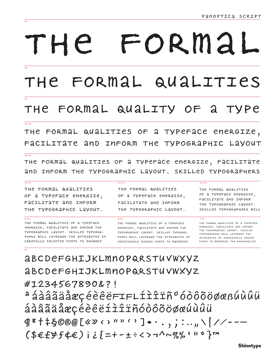# FORMAL THE

#### FORMAL QUALITIES THE

#### FORMAL QUALITY OF TYPE THE  $\mathbf{a}$

#### $\frac{1}{22/26}$

 $\overline{96}$ 

THE FORMAL QUALITIES OF A TYPEFACE energize, FACILITATE and Inform The Typographic LAYOUT

#### $\frac{1}{18/21}$

a Typerace energize, racilitate THE FORMAL QUALITIES OF and inform the typographic Layout. SKILLED Typographers

 $12/15$ 

#### $\frac{14}{15}$

THE FORMAL QUALITIES OF a TYPEFACE ENERGIZE, FACILITATE AND INFORM THE TYPOGRAPHIC LAYOUT.

#### $9/10$

THE FORMAL QUALITIES OF A TYPEFACE energize, Facilitate and inform the TYPOGRAPHIC LAYOUT. SKILLED TYPOGRA-PHERS WILL LEVERAGE THE ATTRIBUTES OF CAREFULLY SELECTED FONTS TO ENHANCE

#### THE FORMAL QUALITIES OF a TYPEFACE ENERGIZE, FACILITATE AND INFORM THE TYPOGRAPHIC LAYOUT.

 $8/10$ THE FORMAL QUALITIES OF A TYPEFACE energize, FACILITATE AND INFORM THE TYPOGRAPHIC LAYOUT. SKILLED TYPOGRA-PHARS WILL LAVARAGA THA ATTRIBUTAS OF JUDICIOUSLY CHOSEN FONTS TO MAXIMIZE

#### THE FORMAL QUALITIES OF a TYPeFace energize, FACILITATE AND INFORM THE TYPOGRAPHIC LAYOUT. SKILLED TYPOGRAPHERS WILL

 $10/11$ 

 $7/8$ 

THE FORMAL QUALITIES OF A TYPEFACE energize, Facilitate and Inform THE TYPOGRAPHIC LAYOUT, SKILLED TYPOGRAPHERS WILL LEVERAGE THE **ATTRIBUTES OF JUDICIOUSLY CHOSEN** FONTS TO MAXIMIZE THE PERSONALITY

*ABCDEFGHIJKLMNOPQRSTUVWXYZ* **ABCDEFGHIJKLMNOPARSTUVWXYZ** #1234567890&?! a á a a a a a a grede e estre la servita de la conservación de la conseguia de la conseguia de la conseguia de áàâãäåæçéèêëíìîiñóòôõöøæúùûü  $9*++$ SO®@[«»<>""'].,;:..,\|//---(\$€£}f¢€)j¿{=+-±÷<>¬^~%‰'॥º}™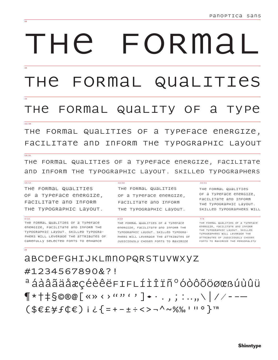# FORMAI  $H \ominus$

FORMAL QUALITIES

### THE FORMAL QUALITY OF A TYPE

#### $\frac{1}{22/26}$

FORMAL QUALITIES OF A TYPEFACE ENERGIZE, тне FACILITATE and Inform The Typographic Layout

#### $\frac{1}{18/21}$

 $\frac{14}{15}$ 

 $9/10$ 

THE FORMAL QUALITIES OF A TYPEFACE ENERGIZE, FACILITATE and Inform the Typographic Layout. Skilled Typographers

 $12/15$ 

 $8/10$ 

#### THE FORMAL QUALITIES OF a Typeface energize, FACILITATE AND INFORM

THE TYPOGRAPHIC LAYOUT.

THE FORMAL QUALITIES OF A TYPEFACE energize, Facilitate and Inform The TVPOGRAPHIC LAVOUT. SKILLED TVPOGRA-PHERS WILL LEVERAGE THE ATTRIBUTES OF CAREFULLY SELECTED FONTS TO ENHANCE

THE FORMAL QUALITIES OF a TypeFace energize, FACILITATE AND INFORM THE TYPOGRAPHIC LAYOUT.

THE FORMAL QUALITIES OF A TYPEFACE energize, Facilitate and InForm THe TYPOGRAPHIC LAYOUT. SKILLED TYPOGRA-PHERS WILL LEVERAGE THE ATTRIBUTES OF JUDICIOUSLY CHOSEN FONTS TO MAXIMIZE

THE FORMAL QUALITIES OF a TypeFace energize, FACILITATE AND INFORM THE TYPOGRAPHIC LAYOUT. SKILLED TYPOGRAPHERS WILL

 $10/11$ 

 $7/8$ 

THE FORMAL QUALITIES OF A TYPEFACE energize, Facilitate and InForm THE TYPOGRAPHIC LAYOUT. SKILLED TYPOGRAPHERS WILL LEVERAGE THE **ATTRIBUTES OF JUDICIOUSLY CHOSEN** FONTS TO MAXIMIZE THE PERSONALITY

**ABCDEFGHIJKLMNOPQRSTUVWXYZ** #1234567890&?! ªáàâãäåæçéèêëFIFLÍÌÎÏñºóòôõöøœßúùûü  $\P$ \*†‡§©®@[«»‹›""'']•·.,;:..,\|//--- $($EE\#f(E) i c{=+-\pm}\div\leftarrow\rightharpoonup\leftarrow\leftarrow\rule{1.5ex}{0.5pt}\right.^n$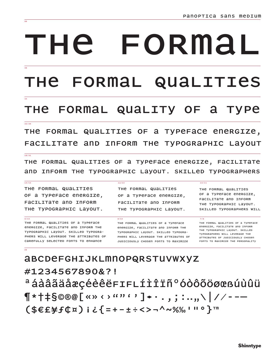# THE FORMAL

THE FORMAL QUALITIES

### THE FORMAL QUALITY OF A TYPE

#### $\frac{1}{22/26}$

THE FORMAL QUALITIES OF A TYPEFACE ENERGIZE, FACILITATE AND INFORM THE TYPOGRAPHIC Lavout

#### $\frac{1}{18/21}$

THE FORMAL QUALITIES OF A TYPEFACE ENERGIZE, FACILITATE and Inform the Typographic Layout. SKILLed Typographers

 $12/15$ 

 $8/10$ 

#### $\frac{14}{15}$

THE FORMAL QUALITIES OF a TYPEFACE ENERGIZE, FACILITATE AND INFORM THE TYPOGRAPHIC LAYOUT.

#### $9/10$

THE FORMAL QUALITIES OF A TYPEFACE energize, Facilitate and Inform The TVPOGRAPHIC LAVOUT, SKILLED TVPOGRA-PHERS WILL LEVERAGE THE ATTRIBUTES OF CAREFULLY SELECTED FONTS TO ENHANCE

#### THE FORMAL QUALITIES OF a TYPEFACE ENERGIZE, FACILITATE AND INFORM THE TYPOGRAPHIC LAYOUT.

THE FORMAL QUALITIES OF A TYPEFACE energize, Facilitate and Inform The TVPOGRAPHIC LAVOUT, SKILLED TVPOGRA-PHERS WILL LEVERAGE THE ATTRIBUTES OF JUDICIOUSLY CHOSEN FONTS TO MAXIMIZE

#### THE FORMAL QUALITIES OF a TVPEFACE ENERGIZE. FACILITATE AND INFORM THE TYPOGRAPHIC LAYOUT. SKILLED TYPOGRAPHERS WILL

 $10/11$ 

 $7/8$ 

THE FORMAL QUALITIES OF A TYPEFACE energize, Facilitate and InFORM THE TYPOGRAPHIC LAYOUT. SKILLED TYPOGRAPHERS WILL LEVERAGE THE **ATTRIBUTES OF JUDICIOUSLY CHOSEN** FONTS TO MAXIMIZE THE PERSONALITY

**ABCDEFGHIJKLMNOPQRSTUVWXYZ** #1234567890&?! ªáàâãäåæçéèêëFIFLÍÌÎÏѺóòôõöøœßúùûü ¶\*†‡§©®@[«» < > ""' ' ]◆ · . , ; : ..,,ヽ| //- -— (\$€£\f¢¤) i ¿{=+-±÷<>¬^~%‰ ' !! °}™